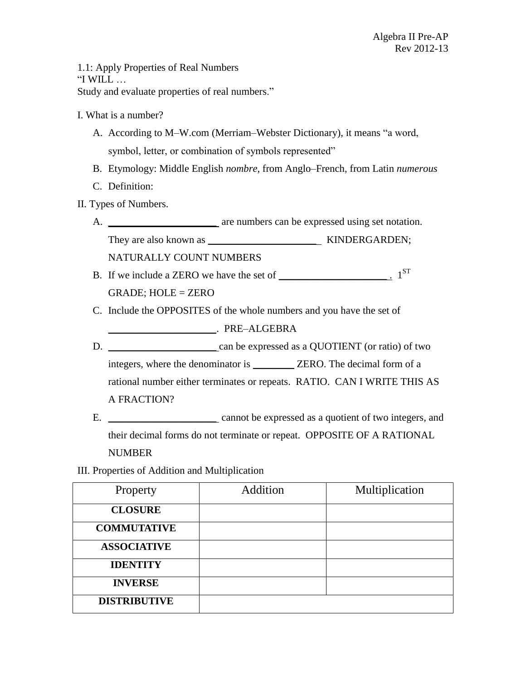1.1: Apply Properties of Real Numbers "I WILL  $\ldots$ Study and evaluate properties of real numbers."

- I. What is a number?
	- A. According to M–W.com (Merriam–Webster Dictionary), it means "a word, symbol, letter, or combination of symbols represented"
	- B. Etymology: Middle English *nombre,* from Anglo–French, from Latin *numerous*
	- C. Definition:
- II. Types of Numbers.
	- A. \_\_\_\_\_\_\_\_\_\_\_\_\_\_\_\_\_\_\_\_\_\_\_\_ are numbers can be expressed using set notation.

They are also known as \_\_\_\_\_\_\_\_\_\_\_\_\_\_\_\_\_\_\_\_\_ KINDERGARDEN;

NATURALLY COUNT NUMBERS

- B. If we include a ZERO we have the set of  $\frac{1}{\sqrt{S}}$ GRADE; HOLE = ZERO
- C. Include the OPPOSITES of the whole numbers and you have the set of \_\_\_\_\_\_\_\_\_\_\_\_\_\_\_\_\_\_\_\_\_. PRE–ALGEBRA
- D. \_\_\_\_\_\_\_\_\_\_\_\_\_\_\_\_\_\_\_\_\_ can be expressed as a QUOTIENT (or ratio) of two integers, where the denominator is \_\_\_\_\_\_\_\_ ZERO. The decimal form of a rational number either terminates or repeats. RATIO. CAN I WRITE THIS AS A FRACTION?
- E. \_\_\_\_\_\_\_\_\_\_\_\_\_\_\_\_\_\_\_\_\_ cannot be expressed as a quotient of two integers, and their decimal forms do not terminate or repeat. OPPOSITE OF A RATIONAL NUMBER
- III. Properties of Addition and Multiplication

| Property            | Addition | Multiplication |
|---------------------|----------|----------------|
| <b>CLOSURE</b>      |          |                |
| <b>COMMUTATIVE</b>  |          |                |
| <b>ASSOCIATIVE</b>  |          |                |
| <b>IDENTITY</b>     |          |                |
| <b>INVERSE</b>      |          |                |
| <b>DISTRIBUTIVE</b> |          |                |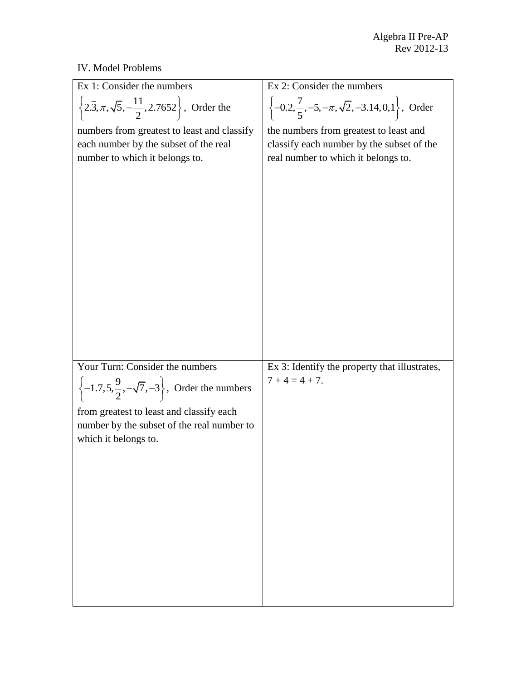## IV. Model Problems

| Ex 1: Consider the numbers                                                        | $\overline{Ex}$ 2: Consider the numbers                                     |
|-----------------------------------------------------------------------------------|-----------------------------------------------------------------------------|
| $\left\{2.\overline{3}, \pi, \sqrt{5}, -\frac{11}{2}, 2.7652\right\}$ , Order the | $\left\{-0.2, \frac{7}{5}, -5, -\pi, \sqrt{2}, -3.14, 0, 1\right\}$ , Order |
| numbers from greatest to least and classify                                       | the numbers from greatest to least and                                      |
| each number by the subset of the real                                             | classify each number by the subset of the                                   |
| number to which it belongs to.                                                    | real number to which it belongs to.                                         |
|                                                                                   |                                                                             |
|                                                                                   |                                                                             |
| Your Turn: Consider the numbers                                                   | Ex 3: Identify the property that illustrates,                               |
|                                                                                   | $7 + 4 = 4 + 7$ .                                                           |
| $\left\{-1.7,5,\frac{9}{2},-\sqrt{7},-3\right\}$ , Order the numbers              |                                                                             |
| from greatest to least and classify each                                          |                                                                             |
| number by the subset of the real number to                                        |                                                                             |
| which it belongs to.                                                              |                                                                             |
|                                                                                   |                                                                             |
|                                                                                   |                                                                             |
|                                                                                   |                                                                             |
|                                                                                   |                                                                             |
|                                                                                   |                                                                             |
|                                                                                   |                                                                             |
|                                                                                   |                                                                             |
|                                                                                   |                                                                             |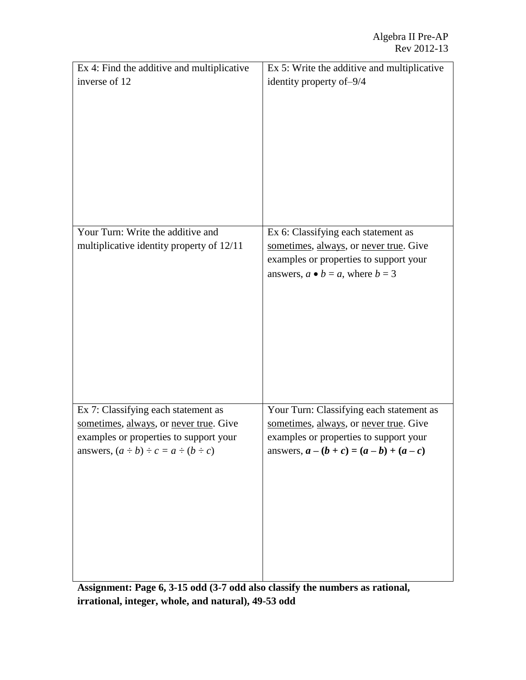| Ex 4: Find the additive and multiplicative       | Ex 5: Write the additive and multiplicative |
|--------------------------------------------------|---------------------------------------------|
| inverse of 12                                    | identity property of-9/4                    |
|                                                  |                                             |
|                                                  |                                             |
|                                                  |                                             |
|                                                  |                                             |
|                                                  |                                             |
|                                                  |                                             |
|                                                  |                                             |
|                                                  |                                             |
|                                                  |                                             |
|                                                  |                                             |
| Your Turn: Write the additive and                | Ex 6: Classifying each statement as         |
| multiplicative identity property of 12/11        | sometimes, always, or never true. Give      |
|                                                  | examples or properties to support your      |
|                                                  | answers, $a \bullet b = a$ , where $b = 3$  |
|                                                  |                                             |
|                                                  |                                             |
|                                                  |                                             |
|                                                  |                                             |
|                                                  |                                             |
|                                                  |                                             |
|                                                  |                                             |
|                                                  |                                             |
|                                                  |                                             |
| Ex 7: Classifying each statement as              | Your Turn: Classifying each statement as    |
| sometimes, always, or never true. Give           | sometimes, always, or never true. Give      |
| examples or properties to support your           | examples or properties to support your      |
| answers, $(a \div b) \div c = a \div (b \div c)$ | answers, $a - (b + c) = (a - b) + (a - c)$  |
|                                                  |                                             |
|                                                  |                                             |
|                                                  |                                             |
|                                                  |                                             |
|                                                  |                                             |
|                                                  |                                             |
|                                                  |                                             |
|                                                  |                                             |
|                                                  |                                             |

**Assignment: Page 6, 3-15 odd (3-7 odd also classify the numbers as rational, irrational, integer, whole, and natural), 49-53 odd**